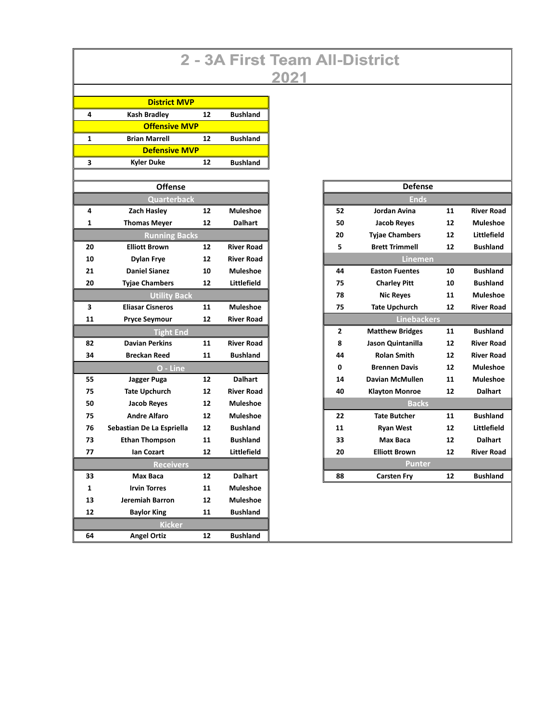## 2 - 3A First Team All-District 2021

| <b>District MVP</b>  |                           |    |                   |  |  |  |  |  |  |
|----------------------|---------------------------|----|-------------------|--|--|--|--|--|--|
| 4                    | <b>Kash Bradley</b>       | 12 | <b>Bushland</b>   |  |  |  |  |  |  |
| <b>Offensive MVP</b> |                           |    |                   |  |  |  |  |  |  |
| $\mathbf{1}$         | <b>Brian Marrell</b>      | 12 | <b>Bushland</b>   |  |  |  |  |  |  |
| <b>Defensive MVP</b> |                           |    |                   |  |  |  |  |  |  |
| 3                    | <b>Kyler Duke</b>         | 12 | <b>Bushland</b>   |  |  |  |  |  |  |
|                      |                           |    |                   |  |  |  |  |  |  |
| <b>Offense</b>       |                           |    |                   |  |  |  |  |  |  |
| Quarterback          |                           |    |                   |  |  |  |  |  |  |
| 4                    | Zach Hasley               | 12 | <b>Muleshoe</b>   |  |  |  |  |  |  |
| 1                    | <b>Thomas Meyer</b>       | 12 | <b>Dalhart</b>    |  |  |  |  |  |  |
| <b>Running Backs</b> |                           |    |                   |  |  |  |  |  |  |
| 20                   | <b>Elliott Brown</b>      | 12 | <b>River Road</b> |  |  |  |  |  |  |
| 10                   | <b>Dylan Frye</b>         | 12 | <b>River Road</b> |  |  |  |  |  |  |
| 21                   | <b>Daniel Sianez</b>      | 10 | <b>Muleshoe</b>   |  |  |  |  |  |  |
| 20                   | <b>Tyjae Chambers</b>     | 12 | Littlefield       |  |  |  |  |  |  |
|                      | <b>Utility Back</b>       |    |                   |  |  |  |  |  |  |
| 3                    | <b>Eliasar Cisneros</b>   | 11 | <b>Muleshoe</b>   |  |  |  |  |  |  |
| 11                   | <b>Pryce Seymour</b>      | 12 | <b>River Road</b> |  |  |  |  |  |  |
|                      | Tight End                 |    |                   |  |  |  |  |  |  |
| 82                   | <b>Davian Perkins</b>     | 11 | <b>River Road</b> |  |  |  |  |  |  |
| 34                   | <b>Breckan Reed</b>       | 11 | <b>Bushland</b>   |  |  |  |  |  |  |
|                      | O - Line                  |    |                   |  |  |  |  |  |  |
| 55                   | Jagger Puga               | 12 | <b>Dalhart</b>    |  |  |  |  |  |  |
| 75                   | <b>Tate Upchurch</b>      | 12 | <b>River Road</b> |  |  |  |  |  |  |
| 50                   | <b>Jacob Reves</b>        | 12 | <b>Muleshoe</b>   |  |  |  |  |  |  |
| 75                   | <b>Andre Alfaro</b>       | 12 | <b>Muleshoe</b>   |  |  |  |  |  |  |
| 76                   | Sebastian De La Espriella | 12 | <b>Bushland</b>   |  |  |  |  |  |  |
| 73                   | <b>Ethan Thompson</b>     | 11 | <b>Bushland</b>   |  |  |  |  |  |  |
| 77                   | <b>Ian Cozart</b>         | 12 | Littlefield       |  |  |  |  |  |  |
| Receivers            |                           |    |                   |  |  |  |  |  |  |
| 33                   | Max Baca                  | 12 | <b>Dalhart</b>    |  |  |  |  |  |  |
| $\mathbf{1}$         | <b>Irvin Torres</b>       | 11 | Muleshoe          |  |  |  |  |  |  |
| 13                   | Jeremiah Barron           | 12 | <b>Muleshoe</b>   |  |  |  |  |  |  |
| 12                   | <b>Baylor King</b>        | 11 | <b>Bushland</b>   |  |  |  |  |  |  |
| <b>Kicker</b>        |                           |    |                   |  |  |  |  |  |  |
| 64                   | <b>Angel Ortiz</b>        | 12 | <b>Bushland</b>   |  |  |  |  |  |  |

| <b>Defense</b> |                        |    |                   |  |  |  |  |  |  |
|----------------|------------------------|----|-------------------|--|--|--|--|--|--|
| Ends           |                        |    |                   |  |  |  |  |  |  |
| 52             | Jordan Avina           | 11 | <b>River Road</b> |  |  |  |  |  |  |
| 50             | <b>Jacob Reves</b>     | 12 | <b>Muleshoe</b>   |  |  |  |  |  |  |
| 20             | <b>Tyjae Chambers</b>  | 12 | Littlefield       |  |  |  |  |  |  |
| 5              | <b>Brett Trimmell</b>  | 12 | <b>Bushland</b>   |  |  |  |  |  |  |
| <b>Linemen</b> |                        |    |                   |  |  |  |  |  |  |
| 44             | <b>Easton Fuentes</b>  | 10 | <b>Bushland</b>   |  |  |  |  |  |  |
| 75             | <b>Charley Pitt</b>    | 10 | <b>Bushland</b>   |  |  |  |  |  |  |
| 78             | <b>Nic Reves</b>       | 11 | <b>Muleshoe</b>   |  |  |  |  |  |  |
| 75             | <b>Tate Upchurch</b>   | 12 | <b>River Road</b> |  |  |  |  |  |  |
|                | <b>Linebackers</b>     |    |                   |  |  |  |  |  |  |
| $\overline{2}$ | <b>Matthew Bridges</b> | 11 | <b>Bushland</b>   |  |  |  |  |  |  |
| 8              | Jason Quintanilla      | 12 | <b>River Road</b> |  |  |  |  |  |  |
| 44             | <b>Rolan Smith</b>     | 12 | <b>River Road</b> |  |  |  |  |  |  |
| $\Omega$       | <b>Brennen Davis</b>   | 12 | <b>Muleshoe</b>   |  |  |  |  |  |  |
| 14             | <b>Davian McMullen</b> | 11 | <b>Muleshoe</b>   |  |  |  |  |  |  |
| 40             | <b>Klayton Monroe</b>  | 12 | <b>Dalhart</b>    |  |  |  |  |  |  |
|                | <b>Backs</b>           |    |                   |  |  |  |  |  |  |
| 22             | <b>Tate Butcher</b>    | 11 | <b>Bushland</b>   |  |  |  |  |  |  |
| 11             | <b>Ryan West</b>       | 12 | Littlefield       |  |  |  |  |  |  |
| 33             | Max Baca               | 12 | <b>Dalhart</b>    |  |  |  |  |  |  |
| 20             | <b>Elliott Brown</b>   | 12 | <b>River Road</b> |  |  |  |  |  |  |
| Punter         |                        |    |                   |  |  |  |  |  |  |
| 88             | <b>Carsten Fry</b>     | 12 | <b>Bushland</b>   |  |  |  |  |  |  |
|                |                        |    |                   |  |  |  |  |  |  |